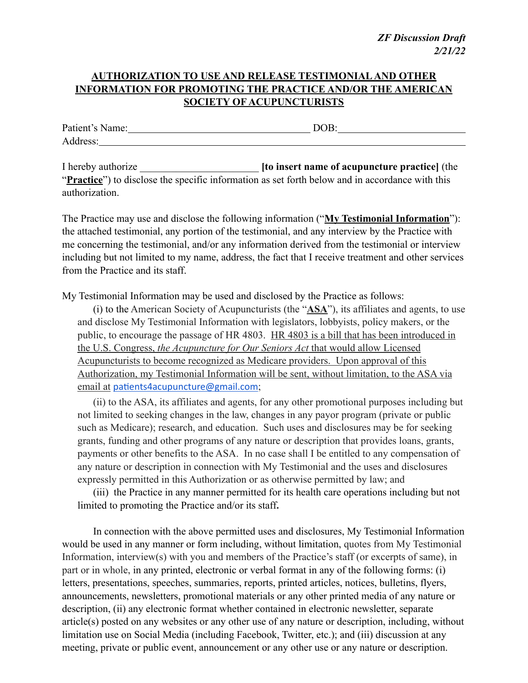*ZF Discussion Draft 2/21/22*

## **AUTHORIZATION TO USE AND RELEASE TESTIMONIAL AND OTHER INFORMATION FOR PROMOTING THE PRACTICE AND/OR THE AMERICAN SOCIETY OF ACUPUNCTURISTS**

Patient's Name: DOB: Address:

I hereby authorize \_\_\_\_\_\_\_\_\_\_\_\_\_\_\_\_\_\_\_\_\_\_\_ **[to insert name of acupuncture practice]** (the "**Practice**") to disclose the specific information as set forth below and in accordance with this authorization.

The Practice may use and disclose the following information ("**My Testimonial Information**"): the attached testimonial, any portion of the testimonial, and any interview by the Practice with me concerning the testimonial, and/or any information derived from the testimonial or interview including but not limited to my name, address, the fact that I receive treatment and other services from the Practice and its staff.

My Testimonial Information may be used and disclosed by the Practice as follows:

(i) to the American Society of Acupuncturists (the "**ASA**"), its affiliates and agents, to use and disclose My Testimonial Information with legislators, lobbyists, policy makers, or the public, to encourage the passage of HR 4803. HR 4803 is a bill that has been introduced in the U.S. Congress, *the Acupuncture for Our Seniors Act* that would allow Licensed Acupuncturists to become recognized as Medicare providers. Upon approval of this Authorization, my Testimonial Information will be sent, without limitation, to the ASA via email at [patients4acupuncture@gmail.com](mailto:patients4acupuncture@gmail.com);

(ii) to the ASA, its affiliates and agents, for any other promotional purposes including but not limited to seeking changes in the law, changes in any payor program (private or public such as Medicare); research, and education. Such uses and disclosures may be for seeking grants, funding and other programs of any nature or description that provides loans, grants, payments or other benefits to the ASA. In no case shall I be entitled to any compensation of any nature or description in connection with My Testimonial and the uses and disclosures expressly permitted in this Authorization or as otherwise permitted by law; and

(iii) the Practice in any manner permitted for its health care operations including but not limited to promoting the Practice and/or its staff**.**

In connection with the above permitted uses and disclosures, My Testimonial Information would be used in any manner or form including, without limitation, quotes from My Testimonial Information, interview(s) with you and members of the Practice's staff (or excerpts of same), in part or in whole, in any printed, electronic or verbal format in any of the following forms: (i) letters, presentations, speeches, summaries, reports, printed articles, notices, bulletins, flyers, announcements, newsletters, promotional materials or any other printed media of any nature or description, (ii) any electronic format whether contained in electronic newsletter, separate article(s) posted on any websites or any other use of any nature or description, including, without limitation use on Social Media (including Facebook, Twitter, etc.); and (iii) discussion at any meeting, private or public event, announcement or any other use or any nature or description.